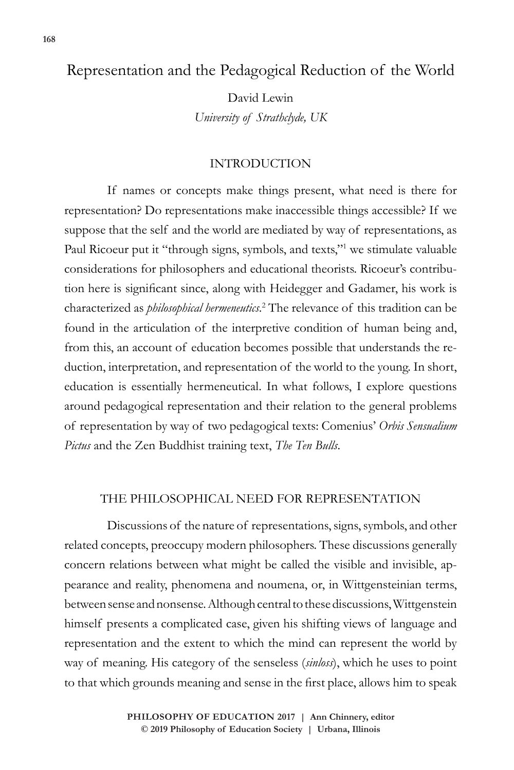# Representation and the Pedagogical Reduction of the World

David Lewin *University of Strathclyde, UK*

## INTRODUCTION

If names or concepts make things present, what need is there for representation? Do representations make inaccessible things accessible? If we suppose that the self and the world are mediated by way of representations, as Paul Ricoeur put it "through signs, symbols, and texts,"<sup>1</sup> we stimulate valuable considerations for philosophers and educational theorists. Ricoeur's contribution here is significant since, along with Heidegger and Gadamer, his work is characterized as *philosophical hermeneutics*. 2 The relevance of this tradition can be found in the articulation of the interpretive condition of human being and, from this, an account of education becomes possible that understands the reduction, interpretation, and representation of the world to the young. In short, education is essentially hermeneutical. In what follows, I explore questions around pedagogical representation and their relation to the general problems of representation by way of two pedagogical texts: Comenius' *Orbis Sensualium Pictus* and the Zen Buddhist training text, *The Ten Bulls*.

## THE PHILOSOPHICAL NEED FOR REPRESENTATION

Discussions of the nature of representations, signs, symbols, and other related concepts, preoccupy modern philosophers. These discussions generally concern relations between what might be called the visible and invisible, appearance and reality, phenomena and noumena, or, in Wittgensteinian terms, between sense and nonsense. Although central to these discussions, Wittgenstein himself presents a complicated case, given his shifting views of language and representation and the extent to which the mind can represent the world by way of meaning. His category of the senseless (*sinloss*), which he uses to point to that which grounds meaning and sense in the first place, allows him to speak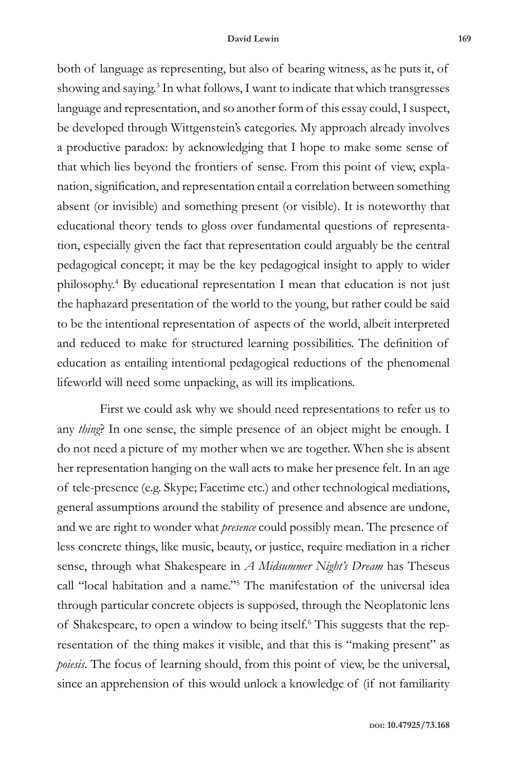both of language as representing, but also of bearing witness, as he puts it, of showing and saying.<sup>3</sup> In what follows, I want to indicate that which transgresses language and representation, and so another form of this essay could, I suspect, be developed through Wittgenstein's categories. My approach already involves a productive paradox: by acknowledging that I hope to make some sense of that which lies beyond the frontiers of sense. From this point of view, explanation, signification, and representation entail a correlation between something absent (or invisible) and something present (or visible). It is noteworthy that educational theory tends to gloss over fundamental questions of representation, especially given the fact that representation could arguably be the central pedagogical concept; it may be the key pedagogical insight to apply to wider philosophy.4 By educational representation I mean that education is not just the haphazard presentation of the world to the young, but rather could be said to be the intentional representation of aspects of the world, albeit interpreted and reduced to make for structured learning possibilities. The definition of education as entailing intentional pedagogical reductions of the phenomenal lifeworld will need some unpacking, as will its implications.

First we could ask why we should need representations to refer us to any *thing*? In one sense, the simple presence of an object might be enough. I do not need a picture of my mother when we are together. When she is absent her representation hanging on the wall acts to make her presence felt. In an age of tele-presence (e.g. Skype; Facetime etc.) and other technological mediations, general assumptions around the stability of presence and absence are undone, and we are right to wonder what *presence* could possibly mean. The presence of less concrete things, like music, beauty, or justice, require mediation in a richer sense, through what Shakespeare in *A Midsummer Night's Dream* has Theseus call "local habitation and a name."5 The manifestation of the universal idea through particular concrete objects is supposed, through the Neoplatonic lens of Shakespeare, to open a window to being itself.<sup>6</sup> This suggests that the representation of the thing makes it visible, and that this is "making present" as *poiesis*. The focus of learning should, from this point of view, be the universal, since an apprehension of this would unlock a knowledge of (if not familiarity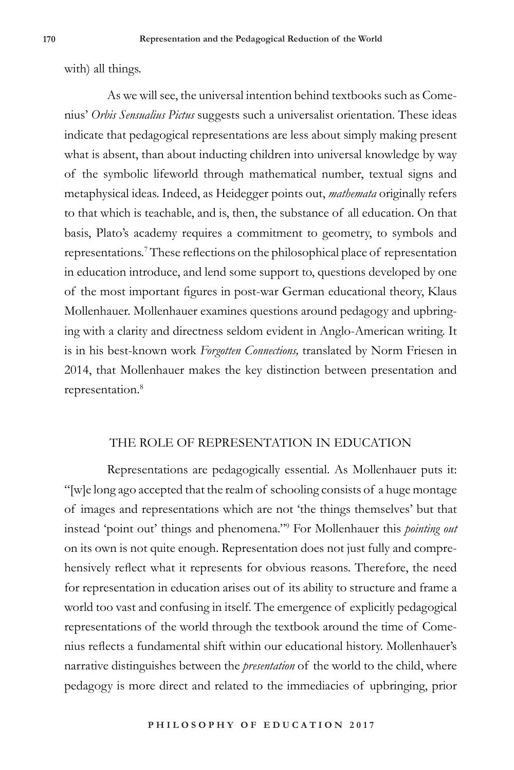with) all things.

As we will see, the universal intention behind textbooks such as Comenius' *Orbis Sensualius Pictus* suggests such a universalist orientation. These ideas indicate that pedagogical representations are less about simply making present what is absent, than about inducting children into universal knowledge by way of the symbolic lifeworld through mathematical number, textual signs and metaphysical ideas. Indeed, as Heidegger points out, *mathemata* originally refers to that which is teachable, and is, then, the substance of all education. On that basis, Plato's academy requires a commitment to geometry, to symbols and representations.7 These reflections on the philosophical place of representation in education introduce, and lend some support to, questions developed by one of the most important figures in post-war German educational theory, Klaus Mollenhauer. Mollenhauer examines questions around pedagogy and upbringing with a clarity and directness seldom evident in Anglo-American writing. It is in his best-known work *Forgotten Connections,* translated by Norm Friesen in 2014, that Mollenhauer makes the key distinction between presentation and representation.<sup>8</sup>

#### THE ROLE OF REPRESENTATION IN EDUCATION

Representations are pedagogically essential. As Mollenhauer puts it: "[w]e long ago accepted that the realm of schooling consists of a huge montage of images and representations which are not 'the things themselves' but that instead 'point out' things and phenomena."9 For Mollenhauer this *pointing out* on its own is not quite enough. Representation does not just fully and comprehensively reflect what it represents for obvious reasons. Therefore, the need for representation in education arises out of its ability to structure and frame a world too vast and confusing in itself. The emergence of explicitly pedagogical representations of the world through the textbook around the time of Comenius reflects a fundamental shift within our educational history. Mollenhauer's narrative distinguishes between the *presentation* of the world to the child, where pedagogy is more direct and related to the immediacies of upbringing, prior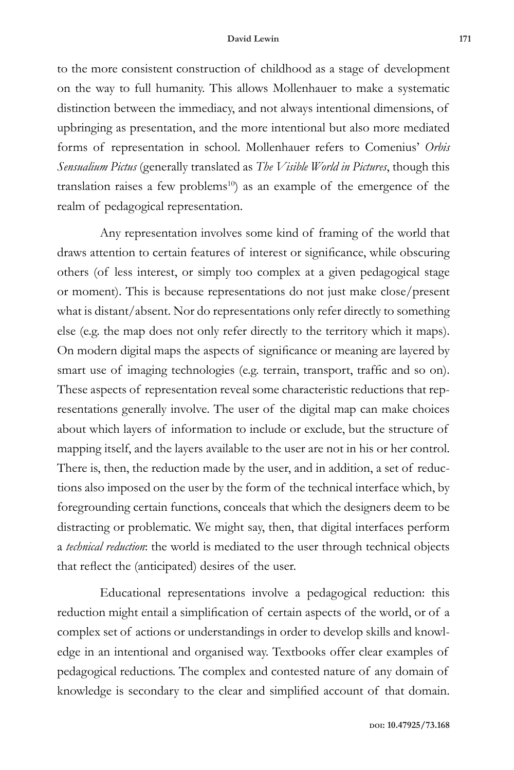to the more consistent construction of childhood as a stage of development on the way to full humanity. This allows Mollenhauer to make a systematic distinction between the immediacy, and not always intentional dimensions, of upbringing as presentation, and the more intentional but also more mediated forms of representation in school. Mollenhauer refers to Comenius' *Orbis Sensualium Pictus* (generally translated as *The Visible World in Pictures*, though this translation raises a few problems<sup>10</sup>) as an example of the emergence of the realm of pedagogical representation.

Any representation involves some kind of framing of the world that draws attention to certain features of interest or significance, while obscuring others (of less interest, or simply too complex at a given pedagogical stage or moment). This is because representations do not just make close/present what is distant/absent. Nor do representations only refer directly to something else (e.g. the map does not only refer directly to the territory which it maps). On modern digital maps the aspects of significance or meaning are layered by smart use of imaging technologies (e.g. terrain, transport, traffic and so on). These aspects of representation reveal some characteristic reductions that representations generally involve. The user of the digital map can make choices about which layers of information to include or exclude, but the structure of mapping itself, and the layers available to the user are not in his or her control. There is, then, the reduction made by the user, and in addition, a set of reductions also imposed on the user by the form of the technical interface which, by foregrounding certain functions, conceals that which the designers deem to be distracting or problematic. We might say, then, that digital interfaces perform a *technical reduction*: the world is mediated to the user through technical objects that reflect the (anticipated) desires of the user.

Educational representations involve a pedagogical reduction: this reduction might entail a simplification of certain aspects of the world, or of a complex set of actions or understandings in order to develop skills and knowledge in an intentional and organised way. Textbooks offer clear examples of pedagogical reductions. The complex and contested nature of any domain of knowledge is secondary to the clear and simplified account of that domain.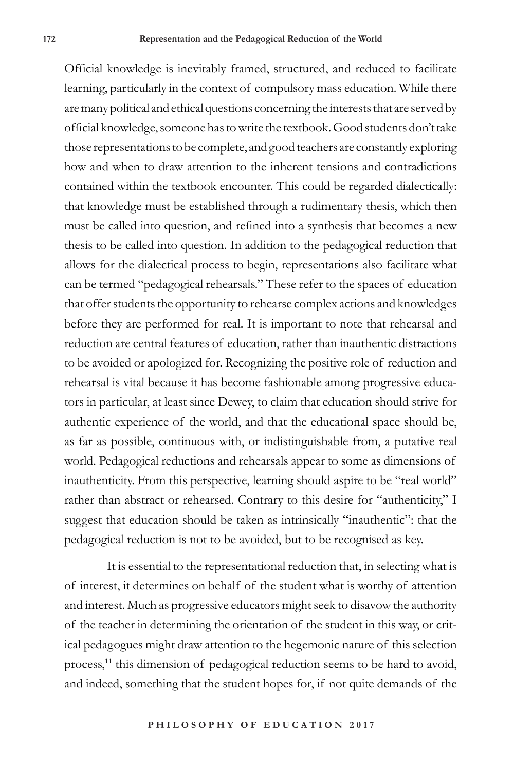Official knowledge is inevitably framed, structured, and reduced to facilitate learning, particularly in the context of compulsory mass education. While there are many political and ethical questions concerning the interests that are served by official knowledge, someone has to write the textbook. Good students don't take those representations to be complete, and good teachers are constantly exploring how and when to draw attention to the inherent tensions and contradictions contained within the textbook encounter. This could be regarded dialectically: that knowledge must be established through a rudimentary thesis, which then must be called into question, and refined into a synthesis that becomes a new thesis to be called into question. In addition to the pedagogical reduction that allows for the dialectical process to begin, representations also facilitate what can be termed "pedagogical rehearsals." These refer to the spaces of education that offer students the opportunity to rehearse complex actions and knowledges before they are performed for real. It is important to note that rehearsal and reduction are central features of education, rather than inauthentic distractions to be avoided or apologized for. Recognizing the positive role of reduction and rehearsal is vital because it has become fashionable among progressive educators in particular, at least since Dewey, to claim that education should strive for authentic experience of the world, and that the educational space should be, as far as possible, continuous with, or indistinguishable from, a putative real world. Pedagogical reductions and rehearsals appear to some as dimensions of inauthenticity. From this perspective, learning should aspire to be "real world" rather than abstract or rehearsed. Contrary to this desire for "authenticity," I suggest that education should be taken as intrinsically "inauthentic": that the pedagogical reduction is not to be avoided, but to be recognised as key.

It is essential to the representational reduction that, in selecting what is of interest, it determines on behalf of the student what is worthy of attention and interest. Much as progressive educators might seek to disavow the authority of the teacher in determining the orientation of the student in this way, or critical pedagogues might draw attention to the hegemonic nature of this selection process,<sup>11</sup> this dimension of pedagogical reduction seems to be hard to avoid, and indeed, something that the student hopes for, if not quite demands of the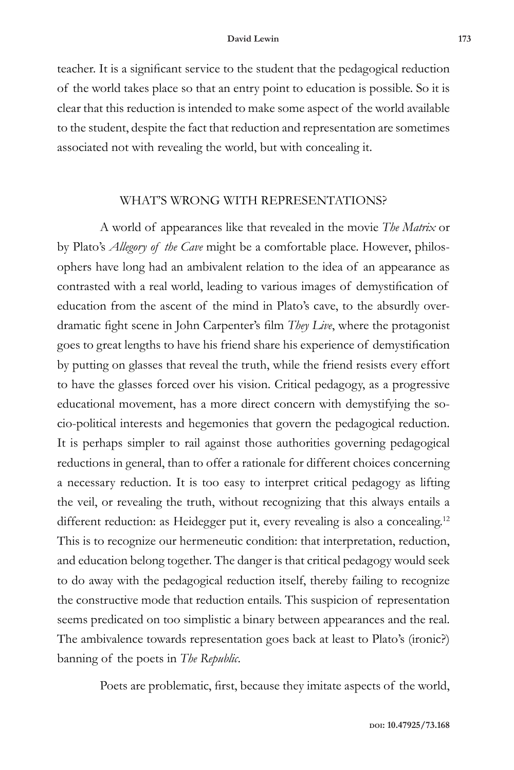teacher. It is a significant service to the student that the pedagogical reduction of the world takes place so that an entry point to education is possible. So it is clear that this reduction is intended to make some aspect of the world available to the student, despite the fact that reduction and representation are sometimes associated not with revealing the world, but with concealing it.

#### WHAT'S WRONG WITH REPRESENTATIONS?

A world of appearances like that revealed in the movie *The Matrix* or by Plato's *Allegory of the Cave* might be a comfortable place. However, philosophers have long had an ambivalent relation to the idea of an appearance as contrasted with a real world, leading to various images of demystification of education from the ascent of the mind in Plato's cave, to the absurdly overdramatic fight scene in John Carpenter's film *They Live*, where the protagonist goes to great lengths to have his friend share his experience of demystification by putting on glasses that reveal the truth, while the friend resists every effort to have the glasses forced over his vision. Critical pedagogy, as a progressive educational movement, has a more direct concern with demystifying the socio-political interests and hegemonies that govern the pedagogical reduction. It is perhaps simpler to rail against those authorities governing pedagogical reductions in general, than to offer a rationale for different choices concerning a necessary reduction. It is too easy to interpret critical pedagogy as lifting the veil, or revealing the truth, without recognizing that this always entails a different reduction: as Heidegger put it, every revealing is also a concealing.<sup>12</sup> This is to recognize our hermeneutic condition: that interpretation, reduction, and education belong together. The danger is that critical pedagogy would seek to do away with the pedagogical reduction itself, thereby failing to recognize the constructive mode that reduction entails. This suspicion of representation seems predicated on too simplistic a binary between appearances and the real. The ambivalence towards representation goes back at least to Plato's (ironic?) banning of the poets in *The Republic*.

Poets are problematic, first, because they imitate aspects of the world,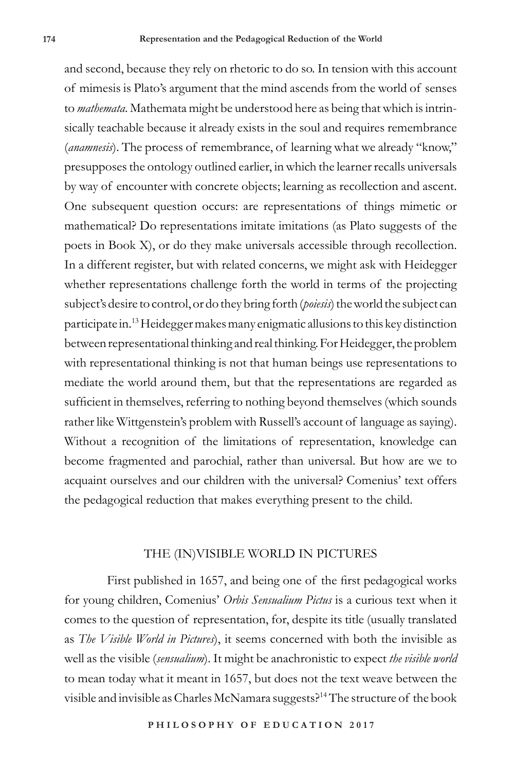and second, because they rely on rhetoric to do so. In tension with this account of mimesis is Plato's argument that the mind ascends from the world of senses to *mathemata*. Mathemata might be understood here as being that which is intrinsically teachable because it already exists in the soul and requires remembrance (*anamnesis*). The process of remembrance, of learning what we already "know," presupposes the ontology outlined earlier, in which the learner recalls universals by way of encounter with concrete objects; learning as recollection and ascent. One subsequent question occurs: are representations of things mimetic or mathematical? Do representations imitate imitations (as Plato suggests of the poets in Book X), or do they make universals accessible through recollection. In a different register, but with related concerns, we might ask with Heidegger whether representations challenge forth the world in terms of the projecting subject's desire to control, or do they bring forth (*poiesis*) the world the subject can participate in.13 Heidegger makes many enigmatic allusions to this key distinction between representational thinking and real thinking. For Heidegger, the problem with representational thinking is not that human beings use representations to mediate the world around them, but that the representations are regarded as sufficient in themselves, referring to nothing beyond themselves (which sounds rather like Wittgenstein's problem with Russell's account of language as saying). Without a recognition of the limitations of representation, knowledge can become fragmented and parochial, rather than universal. But how are we to acquaint ourselves and our children with the universal? Comenius' text offers the pedagogical reduction that makes everything present to the child.

#### THE (IN)VISIBLE WORLD IN PICTURES

First published in 1657, and being one of the first pedagogical works for young children, Comenius' *Orbis Sensualium Pictus* is a curious text when it comes to the question of representation, for, despite its title (usually translated as *The Visible World in Pictures*), it seems concerned with both the invisible as well as the visible (*sensualium*). It might be anachronistic to expect *the visible world* to mean today what it meant in 1657, but does not the text weave between the visible and invisible as Charles McNamara suggests?14 The structure of the book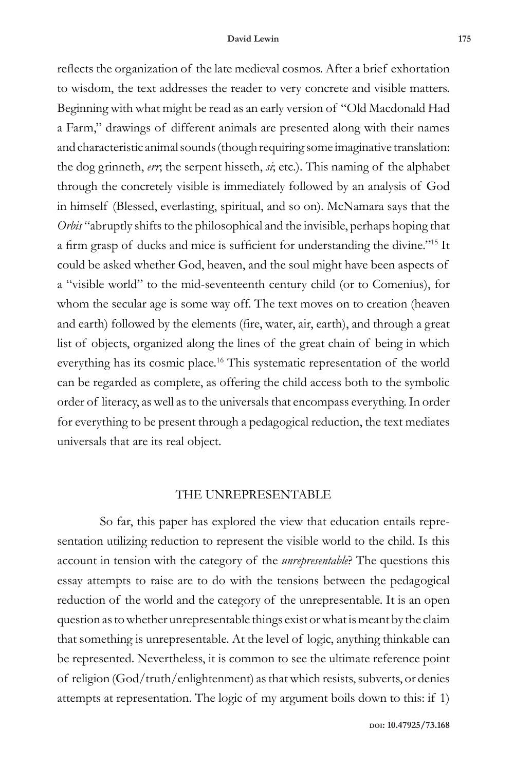reflects the organization of the late medieval cosmos. After a brief exhortation to wisdom, the text addresses the reader to very concrete and visible matters. Beginning with what might be read as an early version of "Old Macdonald Had a Farm," drawings of different animals are presented along with their names and characteristic animal sounds (though requiring some imaginative translation: the dog grinneth, *err*; the serpent hisseth, *si*; etc.). This naming of the alphabet through the concretely visible is immediately followed by an analysis of God in himself (Blessed, everlasting, spiritual, and so on). McNamara says that the *Orbis* "abruptly shifts to the philosophical and the invisible, perhaps hoping that a firm grasp of ducks and mice is sufficient for understanding the divine."15 It could be asked whether God, heaven, and the soul might have been aspects of a "visible world" to the mid-seventeenth century child (or to Comenius), for whom the secular age is some way off. The text moves on to creation (heaven and earth) followed by the elements (fire, water, air, earth), and through a great list of objects, organized along the lines of the great chain of being in which everything has its cosmic place.<sup>16</sup> This systematic representation of the world can be regarded as complete, as offering the child access both to the symbolic order of literacy, as well as to the universals that encompass everything. In order for everything to be present through a pedagogical reduction, the text mediates universals that are its real object.

#### THE UNREPRESENTABLE

So far, this paper has explored the view that education entails representation utilizing reduction to represent the visible world to the child. Is this account in tension with the category of the *unrepresentable*? The questions this essay attempts to raise are to do with the tensions between the pedagogical reduction of the world and the category of the unrepresentable. It is an open question as to whether unrepresentable things exist or what is meant by the claim that something is unrepresentable. At the level of logic, anything thinkable can be represented. Nevertheless, it is common to see the ultimate reference point of religion (God/truth/enlightenment) as that which resists, subverts, or denies attempts at representation. The logic of my argument boils down to this: if 1)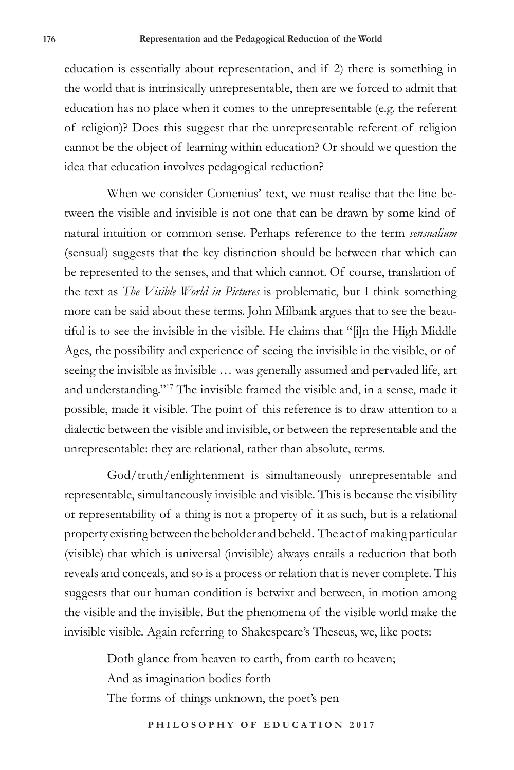education is essentially about representation, and if 2) there is something in the world that is intrinsically unrepresentable, then are we forced to admit that education has no place when it comes to the unrepresentable (e.g. the referent of religion)? Does this suggest that the unrepresentable referent of religion cannot be the object of learning within education? Or should we question the idea that education involves pedagogical reduction?

When we consider Comenius' text, we must realise that the line between the visible and invisible is not one that can be drawn by some kind of natural intuition or common sense. Perhaps reference to the term *sensualium* (sensual) suggests that the key distinction should be between that which can be represented to the senses, and that which cannot. Of course, translation of the text as *The Visible World in Pictures* is problematic, but I think something more can be said about these terms. John Milbank argues that to see the beautiful is to see the invisible in the visible. He claims that "[i]n the High Middle Ages, the possibility and experience of seeing the invisible in the visible, or of seeing the invisible as invisible … was generally assumed and pervaded life, art and understanding."17 The invisible framed the visible and, in a sense, made it possible, made it visible. The point of this reference is to draw attention to a dialectic between the visible and invisible, or between the representable and the unrepresentable: they are relational, rather than absolute, terms.

God/truth/enlightenment is simultaneously unrepresentable and representable, simultaneously invisible and visible. This is because the visibility or representability of a thing is not a property of it as such, but is a relational property existing between the beholder and beheld. The act of making particular (visible) that which is universal (invisible) always entails a reduction that both reveals and conceals, and so is a process or relation that is never complete. This suggests that our human condition is betwixt and between, in motion among the visible and the invisible. But the phenomena of the visible world make the invisible visible. Again referring to Shakespeare's Theseus, we, like poets:

> Doth glance from heaven to earth, from earth to heaven; And as imagination bodies forth The forms of things unknown, the poet's pen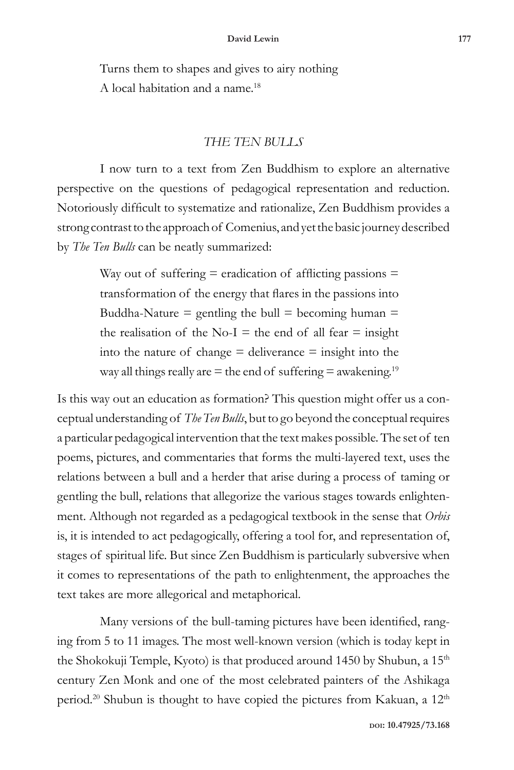Turns them to shapes and gives to airy nothing A local habitation and a name.<sup>18</sup>

## *THE TEN BULLS*

I now turn to a text from Zen Buddhism to explore an alternative perspective on the questions of pedagogical representation and reduction. Notoriously difficult to systematize and rationalize, Zen Buddhism provides a strong contrast to the approach of Comenius, and yet the basic journey described by *The Ten Bulls* can be neatly summarized:

> Way out of suffering  $=$  eradication of afflicting passions  $=$ transformation of the energy that flares in the passions into Buddha-Nature  $=$  gentling the bull  $=$  becoming human  $=$ the realisation of the No-I = the end of all fear = insight into the nature of change  $=$  deliverance  $=$  insight into the way all things really are  $=$  the end of suffering  $=$  awakening.<sup>19</sup>

Is this way out an education as formation? This question might offer us a conceptual understanding of *The Ten Bulls*, but to go beyond the conceptual requires a particular pedagogical intervention that the text makes possible. The set of ten poems, pictures, and commentaries that forms the multi-layered text, uses the relations between a bull and a herder that arise during a process of taming or gentling the bull, relations that allegorize the various stages towards enlightenment. Although not regarded as a pedagogical textbook in the sense that *Orbis*  is, it is intended to act pedagogically, offering a tool for, and representation of, stages of spiritual life. But since Zen Buddhism is particularly subversive when it comes to representations of the path to enlightenment, the approaches the text takes are more allegorical and metaphorical.

Many versions of the bull-taming pictures have been identified, ranging from 5 to 11 images. The most well-known version (which is today kept in the Shokokuji Temple, Kyoto) is that produced around 1450 by Shubun, a  $15<sup>th</sup>$ century Zen Monk and one of the most celebrated painters of the Ashikaga period.<sup>20</sup> Shubun is thought to have copied the pictures from Kakuan, a 12<sup>th</sup>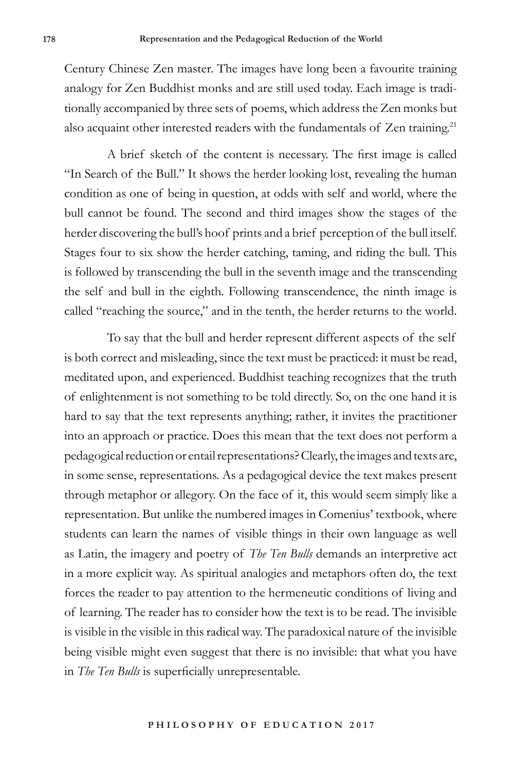Century Chinese Zen master. The images have long been a favourite training analogy for Zen Buddhist monks and are still used today. Each image is traditionally accompanied by three sets of poems, which address the Zen monks but also acquaint other interested readers with the fundamentals of Zen training.<sup>21</sup>

A brief sketch of the content is necessary. The first image is called "In Search of the Bull." It shows the herder looking lost, revealing the human condition as one of being in question, at odds with self and world, where the bull cannot be found. The second and third images show the stages of the herder discovering the bull's hoof prints and a brief perception of the bull itself. Stages four to six show the herder catching, taming, and riding the bull. This is followed by transcending the bull in the seventh image and the transcending the self and bull in the eighth. Following transcendence, the ninth image is called "reaching the source," and in the tenth, the herder returns to the world.

To say that the bull and herder represent different aspects of the self is both correct and misleading, since the text must be practiced: it must be read, meditated upon, and experienced. Buddhist teaching recognizes that the truth of enlightenment is not something to be told directly. So, on the one hand it is hard to say that the text represents anything; rather, it invites the practitioner into an approach or practice. Does this mean that the text does not perform a pedagogical reduction or entail representations? Clearly, the images and texts are, in some sense, representations. As a pedagogical device the text makes present through metaphor or allegory. On the face of it, this would seem simply like a representation. But unlike the numbered images in Comenius' textbook, where students can learn the names of visible things in their own language as well as Latin, the imagery and poetry of *The Ten Bulls* demands an interpretive act in a more explicit way. As spiritual analogies and metaphors often do, the text forces the reader to pay attention to the hermeneutic conditions of living and of learning. The reader has to consider how the text is to be read. The invisible is visible in the visible in this radical way. The paradoxical nature of the invisible being visible might even suggest that there is no invisible: that what you have in *The Ten Bulls* is superficially unrepresentable.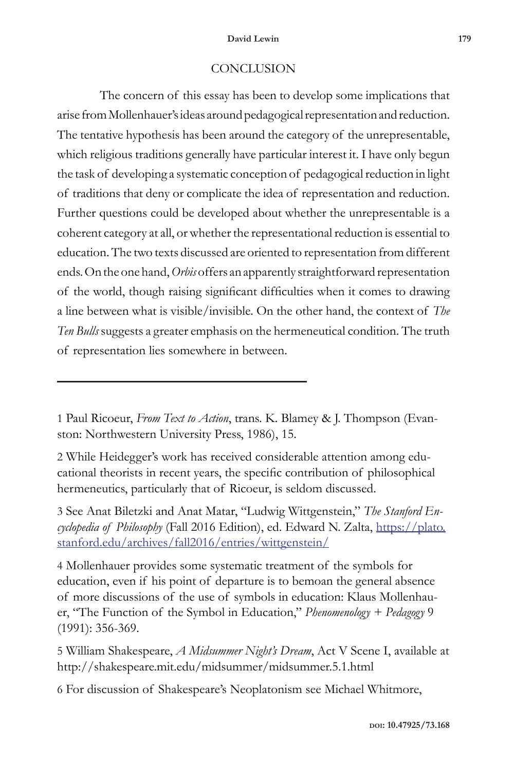# **CONCLUSION**

The concern of this essay has been to develop some implications that arise from Mollenhauer's ideas around pedagogical representation and reduction. The tentative hypothesis has been around the category of the unrepresentable, which religious traditions generally have particular interest it. I have only begun the task of developing a systematic conception of pedagogical reduction in light of traditions that deny or complicate the idea of representation and reduction. Further questions could be developed about whether the unrepresentable is a coherent category at all, or whether the representational reduction is essential to education. The two texts discussed are oriented to representation from different ends. On the one hand, *Orbis* offers an apparently straightforward representation of the world, though raising significant difficulties when it comes to drawing a line between what is visible/invisible. On the other hand, the context of *The Ten Bulls* suggests a greater emphasis on the hermeneutical condition. The truth of representation lies somewhere in between.

2 While Heidegger's work has received considerable attention among educational theorists in recent years, the specific contribution of philosophical hermeneutics, particularly that of Ricoeur, is seldom discussed.

3 See Anat Biletzki and Anat Matar, "Ludwig Wittgenstein," *The Stanford Encyclopedia of Philosophy* (Fall 2016 Edition), ed. Edward N. Zalta, https://plato. stanford.edu/archives/fall2016/entries/wittgenstein/

4 Mollenhauer provides some systematic treatment of the symbols for education, even if his point of departure is to bemoan the general absence of more discussions of the use of symbols in education: Klaus Mollenhauer, "The Function of the Symbol in Education," *Phenomenology + Pedagogy* 9 (1991): 356-369.

5 William Shakespeare, *A Midsummer Night's Dream*, Act V Scene I, available at http://shakespeare.mit.edu/midsummer/midsummer.5.1.html

6 For discussion of Shakespeare's Neoplatonism see Michael Whitmore,

<sup>1</sup> Paul Ricoeur, *From Text to Action*, trans. K. Blamey & J. Thompson (Evanston: Northwestern University Press, 1986), 15.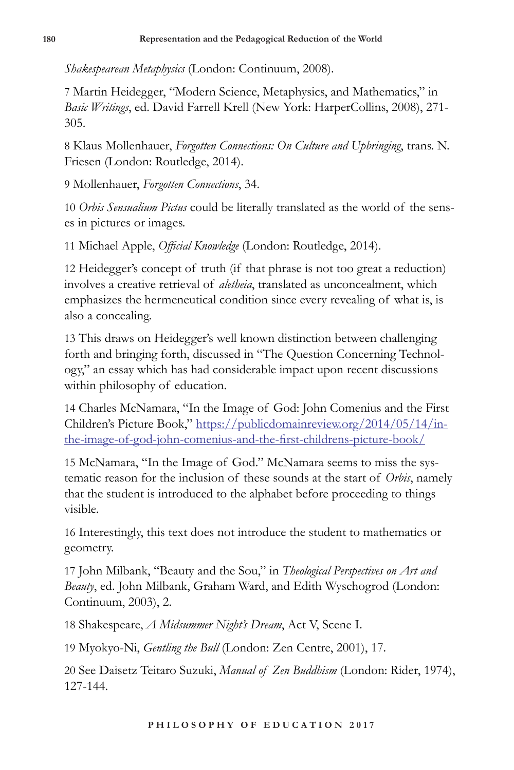*Shakespearean Metaphysics* (London: Continuum, 2008).

7 Martin Heidegger, "Modern Science, Metaphysics, and Mathematics," in *Basic Writings*, ed. David Farrell Krell (New York: HarperCollins, 2008), 271- 305.

8 Klaus Mollenhauer, *Forgotten Connections: On Culture and Upbringing*, trans. N. Friesen (London: Routledge, 2014).

9 Mollenhauer, *Forgotten Connections*, 34.

10 *Orbis Sensualium Pictus* could be literally translated as the world of the senses in pictures or images.

11 Michael Apple, *Official Knowledge* (London: Routledge, 2014).

12 Heidegger's concept of truth (if that phrase is not too great a reduction) involves a creative retrieval of *aletheia*, translated as unconcealment, which emphasizes the hermeneutical condition since every revealing of what is, is also a concealing.

13 This draws on Heidegger's well known distinction between challenging forth and bringing forth, discussed in "The Question Concerning Technology," an essay which has had considerable impact upon recent discussions within philosophy of education.

14 Charles McNamara, "In the Image of God: John Comenius and the First Children's Picture Book," https://publicdomainreview.org/2014/05/14/inthe-image-of-god-john-comenius-and-the-first-childrens-picture-book/

15 McNamara, "In the Image of God." McNamara seems to miss the systematic reason for the inclusion of these sounds at the start of *Orbis*, namely that the student is introduced to the alphabet before proceeding to things visible.

16 Interestingly, this text does not introduce the student to mathematics or geometry.

17 John Milbank, "Beauty and the Sou," in *Theological Perspectives on Art and Beauty*, ed. John Milbank, Graham Ward, and Edith Wyschogrod (London: Continuum, 2003), 2.

18 Shakespeare, *A Midsummer Night's Dream*, Act V, Scene I.

19 Myokyo-Ni, *Gentling the Bull* (London: Zen Centre, 2001), 17.

20 See Daisetz Teitaro Suzuki, *Manual of Zen Buddhism* (London: Rider, 1974), 127-144.